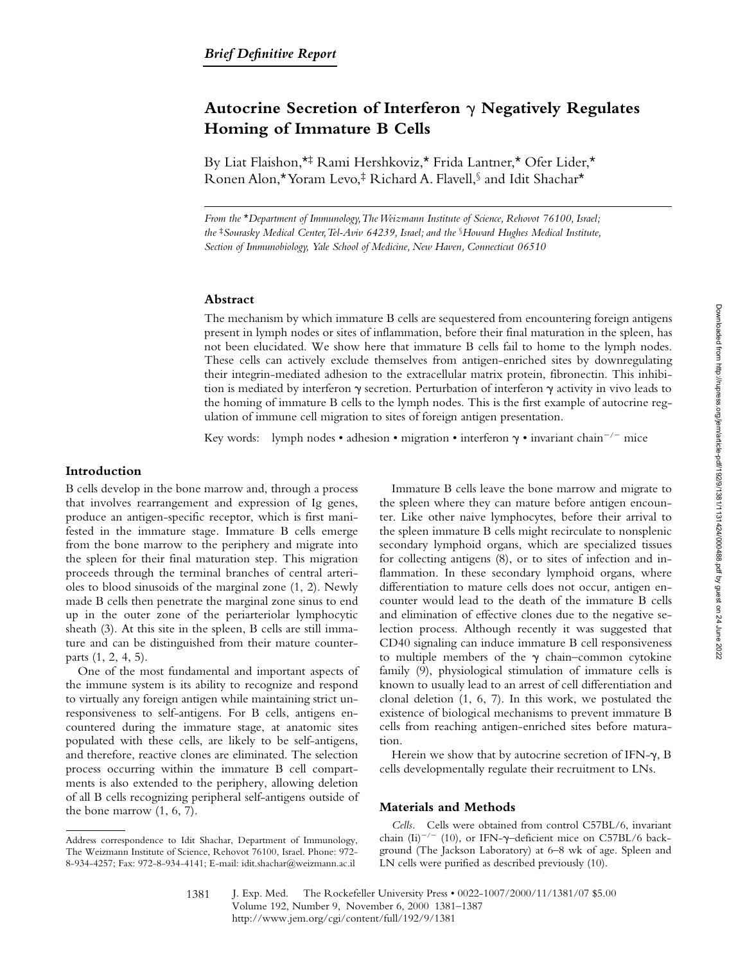# **Autocrine Secretion of Interferon** g **Negatively Regulates Homing of Immature B Cells**

By Liat Flaishon,\*‡ Rami Hershkoviz,\* Frida Lantner,\* Ofer Lider,\* Ronen Alon,\* Yoram Levo,‡ Richard A. Flavell,§ and Idit Shachar\*

*From the* \**Department of Immunology, The Weizmann Institute of Science, Rehovot 76100, Israel; the* ‡*Sourasky Medical Center, Tel-Aviv 64239, Israel; and the* §*Howard Hughes Medical Institute, Section of Immunobiology, Yale School of Medicine, New Haven, Connecticut 06510*

# **Abstract**

The mechanism by which immature B cells are sequestered from encountering foreign antigens present in lymph nodes or sites of inflammation, before their final maturation in the spleen, has not been elucidated. We show here that immature B cells fail to home to the lymph nodes. These cells can actively exclude themselves from antigen-enriched sites by downregulating their integrin-mediated adhesion to the extracellular matrix protein, fibronectin. This inhibition is mediated by interferon  $\gamma$  secretion. Perturbation of interferon  $\gamma$  activity in vivo leads to the homing of immature B cells to the lymph nodes. This is the first example of autocrine regulation of immune cell migration to sites of foreign antigen presentation.

Key words: lymph nodes • adhesion • migration • interferon  $\gamma$  • invariant chain<sup>-/-</sup> mice

## **Introduction**

B cells develop in the bone marrow and, through a process that involves rearrangement and expression of Ig genes, produce an antigen-specific receptor, which is first manifested in the immature stage. Immature B cells emerge from the bone marrow to the periphery and migrate into the spleen for their final maturation step. This migration proceeds through the terminal branches of central arterioles to blood sinusoids of the marginal zone (1, 2). Newly made B cells then penetrate the marginal zone sinus to end up in the outer zone of the periarteriolar lymphocytic sheath (3). At this site in the spleen, B cells are still immature and can be distinguished from their mature counterparts (1, 2, 4, 5).

One of the most fundamental and important aspects of the immune system is its ability to recognize and respond to virtually any foreign antigen while maintaining strict unresponsiveness to self-antigens. For B cells, antigens encountered during the immature stage, at anatomic sites populated with these cells, are likely to be self-antigens, and therefore, reactive clones are eliminated. The selection process occurring within the immature B cell compartments is also extended to the periphery, allowing deletion of all B cells recognizing peripheral self-antigens outside of the bone marrow (1, 6, 7).

Immature B cells leave the bone marrow and migrate to the spleen where they can mature before antigen encounter. Like other naive lymphocytes, before their arrival to the spleen immature B cells might recirculate to nonsplenic secondary lymphoid organs, which are specialized tissues for collecting antigens (8), or to sites of infection and inflammation. In these secondary lymphoid organs, where differentiation to mature cells does not occur, antigen encounter would lead to the death of the immature B cells and elimination of effective clones due to the negative selection process. Although recently it was suggested that CD40 signaling can induce immature B cell responsiveness to multiple members of the  $\gamma$  chain–common cytokine family (9), physiological stimulation of immature cells is known to usually lead to an arrest of cell differentiation and clonal deletion (1, 6, 7). In this work, we postulated the existence of biological mechanisms to prevent immature B cells from reaching antigen-enriched sites before maturation.

Herein we show that by autocrine secretion of IFN- $\gamma$ , B cells developmentally regulate their recruitment to LNs.

# **Materials and Methods**

*Cells.* Cells were obtained from control C57BL/6, invariant chain (Ii)<sup>-/-</sup> (10), or IFN- $\gamma$ -deficient mice on C57BL/6 background (The Jackson Laboratory) at 6–8 wk of age. Spleen and LN cells were purified as described previously (10).

Address correspondence to Idit Shachar, Department of Immunology, The Weizmann Institute of Science, Rehovot 76100, Israel. Phone: 972- 8-934-4257; Fax: 972-8-934-4141; E-mail: idit.shachar@weizmann.ac.il

<sup>1381</sup>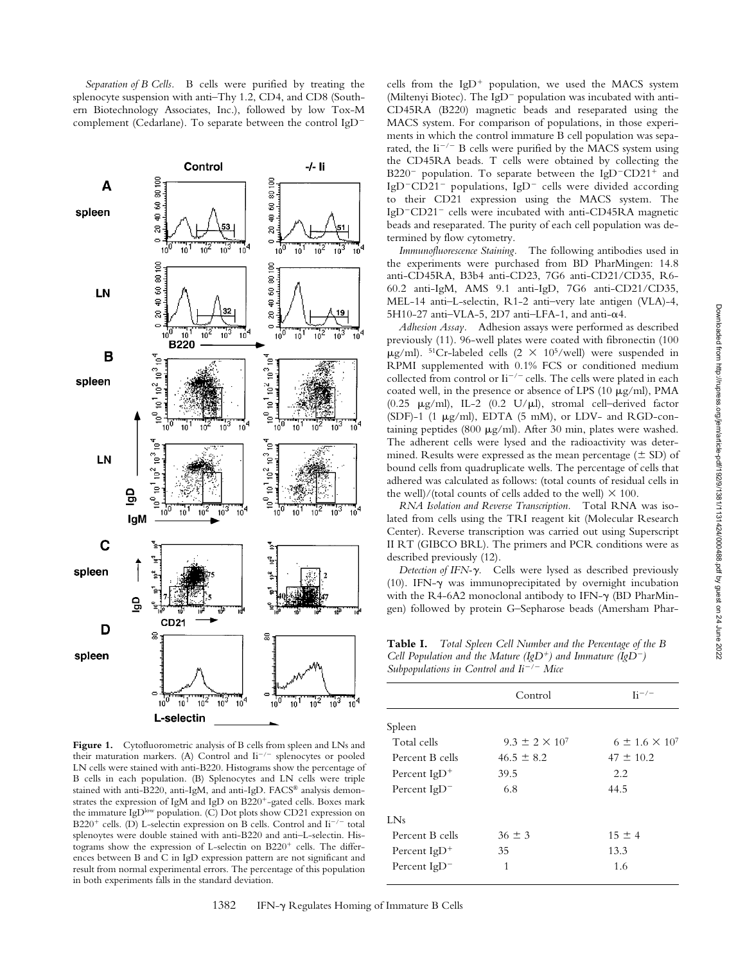*Separation of B Cells.* B cells were purified by treating the splenocyte suspension with anti–Thy 1.2, CD4, and CD8 (Southern Biotechnology Associates, Inc.), followed by low Tox-M complement (Cedarlane). To separate between the control  $IgD^-$ 



Figure 1. Cytofluorometric analysis of B cells from spleen and LNs and their maturation markers. (A) Control and  $\mathrm{Ii}^{-/-}$  splenocytes or pooled LN cells were stained with anti-B220. Histograms show the percentage of B cells in each population. (B) Splenocytes and LN cells were triple stained with anti-B220, anti-IgM, and anti-IgD. FACS® analysis demonstrates the expression of IgM and IgD on B220<sup>+</sup>-gated cells. Boxes mark the immature IgD<sup>low</sup> population. (C) Dot plots show CD21 expression on B220<sup>+</sup> cells. (D) L-selectin expression on B cells. Control and  $\mathrm{li}^{-/-}$  total splenoytes were double stained with anti-B220 and anti–L-selectin. Histograms show the expression of L-selectin on  $B220<sup>+</sup>$  cells. The differences between B and C in IgD expression pattern are not significant and result from normal experimental errors. The percentage of this population in both experiments falls in the standard deviation.

cells from the  $IgD^+$  population, we used the MACS system (Miltenyi Biotec). The IgD<sup>-</sup> population was incubated with anti-CD45RA (B220) magnetic beads and reseparated using the MACS system. For comparison of populations, in those experiments in which the control immature B cell population was separated, the  $\text{Li}^{-/-}$  B cells were purified by the MACS system using the CD45RA beads. T cells were obtained by collecting the B220<sup>-</sup> population. To separate between the IgD<sup>-</sup>CD21<sup>+</sup> and IgD<sup>-</sup>CD21<sup>-</sup> populations, IgD<sup>-</sup> cells were divided according to their CD21 expression using the MACS system. The IgD<sup>-</sup>CD21<sup>-</sup> cells were incubated with anti-CD45RA magnetic beads and reseparated. The purity of each cell population was determined by flow cytometry.

*Immunofluorescence Staining.* The following antibodies used in the experiments were purchased from BD PharMingen: 14.8 anti-CD45RA, B3b4 anti-CD23, 7G6 anti-CD21/CD35, R6- 60.2 anti-IgM, AMS 9.1 anti-IgD, 7G6 anti-CD21/CD35, MEL-14 anti–L-selectin, R1-2 anti–very late antigen (VLA)-4, 5H10-27 anti-VLA-5, 2D7 anti-LFA-1, and anti- $\alpha$ 4.

*Adhesion Assay.* Adhesion assays were performed as described previously (11). 96-well plates were coated with fibronectin (100  $\mu$ g/ml). <sup>51</sup>Cr-labeled cells (2 × 10<sup>5</sup>/well) were suspended in RPMI supplemented with 0.1% FCS or conditioned medium collected from control or  $\text{Li}^{-/-}$  cells. The cells were plated in each coated well, in the presence or absence of LPS  $(10 \mu g/ml)$ , PMA (0.25  $\mu$ g/ml), IL-2 (0.2 U/ $\mu$ l), stromal cell-derived factor  $(SDF)-1$  (1  $\mu$ g/ml), EDTA (5 mM), or LDV- and RGD-containing peptides (800  $\mu$ g/ml). After 30 min, plates were washed. The adherent cells were lysed and the radioactivity was determined. Results were expressed as the mean percentage  $(\pm SD)$  of bound cells from quadruplicate wells. The percentage of cells that adhered was calculated as follows: (total counts of residual cells in the well)/(total counts of cells added to the well)  $\times$  100.

*RNA Isolation and Reverse Transcription.* Total RNA was isolated from cells using the TRI reagent kit (Molecular Research Center). Reverse transcription was carried out using Superscript II RT (GIBCO BRL). The primers and PCR conditions were as described previously (12).

*Detection of IFN-*g*.* Cells were lysed as described previously (10). IFN- $\gamma$  was immunoprecipitated by overnight incubation with the R4-6A2 monoclonal antibody to IFN- $\gamma$  (BD PharMingen) followed by protein G–Sepharose beads (Amersham Phar-

**Table I.** *Total Spleen Cell Number and the Percentage of the B Cell Population and the Mature (IgD<sup>+</sup>) and Immature (IgD<sup>-</sup>) Subpopulations in Control and Ii<sup>-/-</sup> Mice* 

| $\mathbf{1}$    |                           |                           |
|-----------------|---------------------------|---------------------------|
|                 | Control                   | $\rm{I}i^{-/-}$           |
| Spleen          |                           |                           |
| Total cells     | $9.3 \pm 2 \times 10^{7}$ | $6 \pm 1.6 \times 10^{7}$ |
| Percent B cells | $46.5 \pm 8.2$            | $47 \pm 10.2$             |
| Percent $IgD^+$ | 39.5                      | 2.2                       |
| Percent $IgD^-$ | 6.8                       | 44.5                      |
| LNs             |                           |                           |
| Percent B cells | $36 \pm 3$                | $15 \pm 4$                |
| Percent $IgD^+$ | 35                        | 13.3                      |
| Percent $IgD^-$ | 1                         | 1.6                       |
|                 |                           |                           |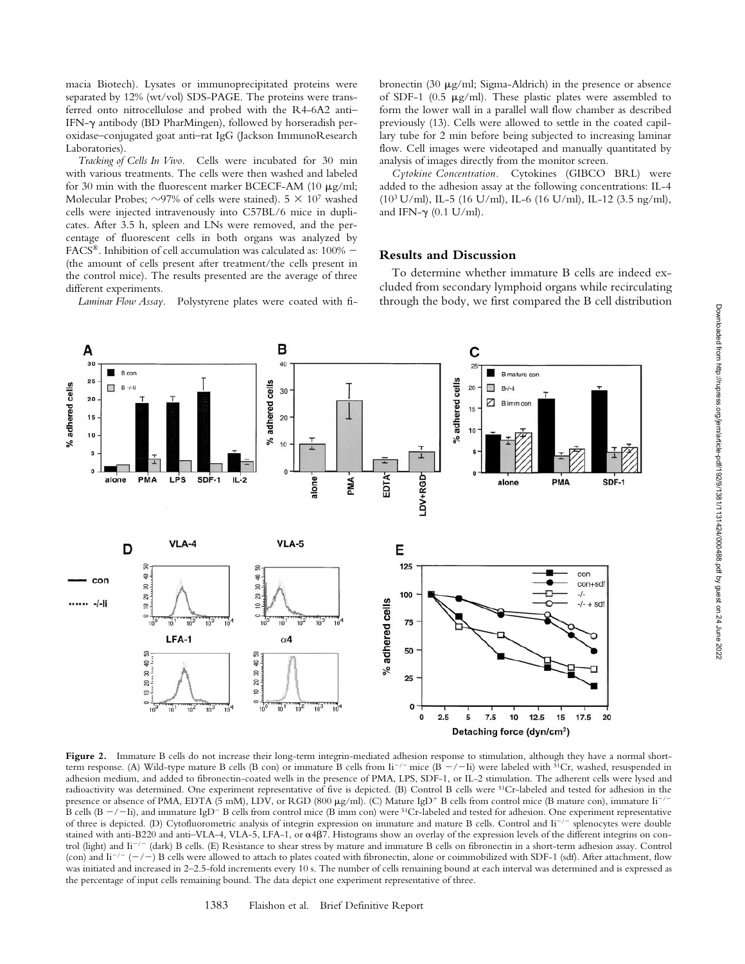macia Biotech). Lysates or immunoprecipitated proteins were separated by 12% (wt/vol) SDS-PAGE. The proteins were transferred onto nitrocellulose and probed with the R4-6A2 anti– IFN- $\gamma$  antibody (BD PharMingen), followed by horseradish peroxidase–conjugated goat anti–rat IgG (Jackson ImmunoResearch Laboratories).

*Tracking of Cells In Vivo.* Cells were incubated for 30 min with various treatments. The cells were then washed and labeled for 30 min with the fluorescent marker BCECF-AM (10  $\mu$ g/ml; Molecular Probes;  $\sim$ 97% of cells were stained). 5  $\times$  10<sup>7</sup> washed cells were injected intravenously into C57BL/6 mice in duplicates. After 3.5 h, spleen and LNs were removed, and the percentage of fluorescent cells in both organs was analyzed by FACS<sup>®</sup>. Inhibition of cell accumulation was calculated as:  $100\%$  -(the amount of cells present after treatment/the cells present in the control mice). The results presented are the average of three different experiments.

*Laminar Flow Assay.* Polystyrene plates were coated with fi-

bronectin (30  $\mu$ g/ml; Sigma-Aldrich) in the presence or absence of SDF-1 (0.5  $\mu$ g/ml). These plastic plates were assembled to form the lower wall in a parallel wall flow chamber as described previously (13). Cells were allowed to settle in the coated capillary tube for 2 min before being subjected to increasing laminar flow. Cell images were videotaped and manually quantitated by analysis of images directly from the monitor screen.

*Cytokine Concentration.* Cytokines (GIBCO BRL) were added to the adhesion assay at the following concentrations: IL-4 (103 U/ml), IL-5 (16 U/ml), IL-6 (16 U/ml), IL-12 (3.5 ng/ml), and IFN- $\gamma$  (0.1 U/ml).

#### **Results and Discussion**

To determine whether immature B cells are indeed excluded from secondary lymphoid organs while recirculating through the body, we first compared the B cell distribution



Figure 2. Immature B cells do not increase their long-term integrin-mediated adhesion response to stimulation, although they have a normal shortterm response. (A) Wild-type mature B cells (B con) or immature B cells from  $\mathrm{Li}^{-/-}$  mice (B  $-/-\mathrm{Li}$ ) were labeled with <sup>51</sup>Cr, washed, resuspended in adhesion medium, and added to fibronectin-coated wells in the presence of PMA, LPS, SDF-1, or IL-2 stimulation. The adherent cells were lysed and radioactivity was determined. One experiment representative of five is depicted. (B) Control B cells were 51Cr-labeled and tested for adhesion in the presence or absence of PMA, EDTA (5 mM), LDV, or RGD (800  $\mu$ g/ml). (C) Mature IgD<sup>+</sup> B cells from control mice (B mature con), immature Ii<sup>-/-</sup> B cells (B  $-/-$ Ii), and immature IgD<sup>-</sup>B cells from control mice (B imm con) were <sup>51</sup>Cr-labeled and tested for adhesion. One experiment representative of three is depicted. (D) Cytofluorometric analysis of integrin expression on immature and mature B cells. Control and Ii<sup>-/-</sup> splenocytes were double stained with anti-B220 and anti-VLA-4, VLA-5, LFA-1, or  $\alpha$ 4 $\beta$ 7. Histograms show an overlay of the expression levels of the different integrins on control (light) and  $\text{Li}^{-/-}$  (dark) B cells. (E) Resistance to shear stress by mature and immature B cells on fibronectin in a short-term adhesion assay. Control (con) and  $\text{Li}^{-/-}$  ( $-/-$ ) B cells were allowed to attach to plates coated with fibronectin, alone or coimmobilized with SDF-1 (sdf). After attachment, flow was initiated and increased in 2–2.5-fold increments every 10 s. The number of cells remaining bound at each interval was determined and is expressed as the percentage of input cells remaining bound. The data depict one experiment representative of three.

1383 Flaishon et al. Brief Definitive Report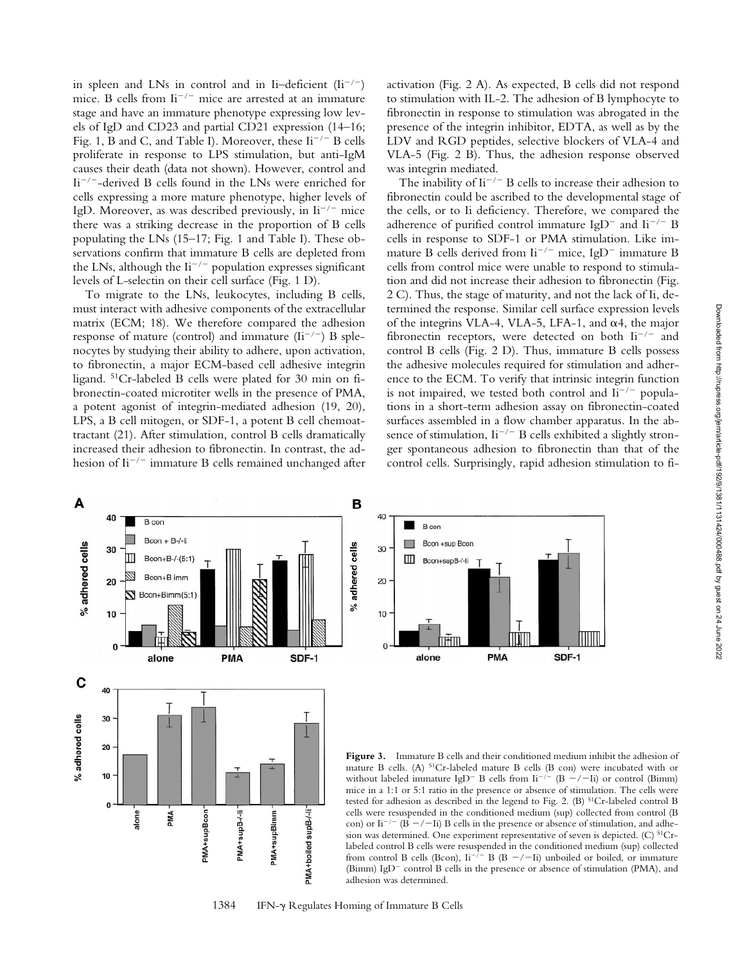in spleen and LNs in control and in Ii–deficient  $(Ii^{-/-})$ mice. B cells from  $\text{Li}^{-/-}$  mice are arrested at an immature stage and have an immature phenotype expressing low levels of IgD and CD23 and partial CD21 expression (14–16; Fig. 1, B and C, and Table I). Moreover, these  $\mathrm{I}i^{-/-}$  B cells proliferate in response to LPS stimulation, but anti-IgM causes their death (data not shown). However, control and  $Ii^{-/-}$ -derived B cells found in the LNs were enriched for cells expressing a more mature phenotype, higher levels of IgD. Moreover, as was described previously, in  $\mathrm{I}i^{-/-}$  mice there was a striking decrease in the proportion of B cells populating the LNs (15–17; Fig. 1 and Table I). These observations confirm that immature B cells are depleted from the LNs, although the  $\text{Li}^{-/-}$  population expresses significant levels of L-selectin on their cell surface (Fig. 1 D).

To migrate to the LNs, leukocytes, including B cells, must interact with adhesive components of the extracellular matrix (ECM; 18). We therefore compared the adhesion response of mature (control) and immature  $(Ii^{-/-})$  B splenocytes by studying their ability to adhere, upon activation, to fibronectin, a major ECM-based cell adhesive integrin ligand. 51Cr-labeled B cells were plated for 30 min on fibronectin-coated microtiter wells in the presence of PMA, a potent agonist of integrin-mediated adhesion (19, 20), LPS, a B cell mitogen, or SDF-1, a potent B cell chemoattractant (21). After stimulation, control B cells dramatically increased their adhesion to fibronectin. In contrast, the adhesion of  $\text{Li}^{-/-}$  immature B cells remained unchanged after activation (Fig. 2 A). As expected, B cells did not respond to stimulation with IL-2. The adhesion of B lymphocyte to fibronectin in response to stimulation was abrogated in the presence of the integrin inhibitor, EDTA, as well as by the LDV and RGD peptides, selective blockers of VLA-4 and VLA-5 (Fig. 2 B). Thus, the adhesion response observed was integrin mediated.

The inability of  $\text{Li}^{-/-}$  B cells to increase their adhesion to fibronectin could be ascribed to the developmental stage of the cells, or to Ii deficiency. Therefore, we compared the adherence of purified control immature  $IpD^-$  and  $Ii^{-/-}B$ cells in response to SDF-1 or PMA stimulation. Like immature B cells derived from  $\text{Li}^{-/-}$  mice, IgD<sup>-</sup> immature B cells from control mice were unable to respond to stimulation and did not increase their adhesion to fibronectin (Fig. 2 C). Thus, the stage of maturity, and not the lack of Ii, determined the response. Similar cell surface expression levels of the integrins VLA-4, VLA-5, LFA-1, and  $\alpha$ 4, the major fibronectin receptors, were detected on both  $\mathrm{I}i^{-/-}$  and control B cells (Fig. 2 D). Thus, immature B cells possess the adhesive molecules required for stimulation and adherence to the ECM. To verify that intrinsic integrin function is not impaired, we tested both control and  $\mathrm{I}i^{-/-}$  populations in a short-term adhesion assay on fibronectin-coated surfaces assembled in a flow chamber apparatus. In the absence of stimulation,  $\text{Li}^{-/-}$  B cells exhibited a slightly stronger spontaneous adhesion to fibronectin than that of the control cells. Surprisingly, rapid adhesion stimulation to fi-





**Figure 3.** Immature B cells and their conditioned medium inhibit the adhesion of mature B cells. (A) 51Cr-labeled mature B cells (B con) were incubated with or without labeled immature IgD<sup>-</sup> B cells from Ii<sup>-/-</sup> (B -/-Ii) or control (Bimm) mice in a 1:1 or 5:1 ratio in the presence or absence of stimulation. The cells were tested for adhesion as described in the legend to Fig. 2. (B) 51Cr-labeled control B cells were resuspended in the conditioned medium (sup) collected from control (B con) or Ii<sup>-/-</sup> (B -/-Ii) B cells in the presence or absence of stimulation, and adhesion was determined. One experiment representative of seven is depicted. (C)  $51Cr$ labeled control B cells were resuspended in the conditioned medium (sup) collected from control B cells (Bcon),  $\text{Li}^{-1}$  B (B -/-Ii) unboiled or boiled, or immature (Bimm) IgD<sup>-</sup> control B cells in the presence or absence of stimulation (PMA), and adhesion was determined.

1384 IFN-g Regulates Homing of Immature B Cells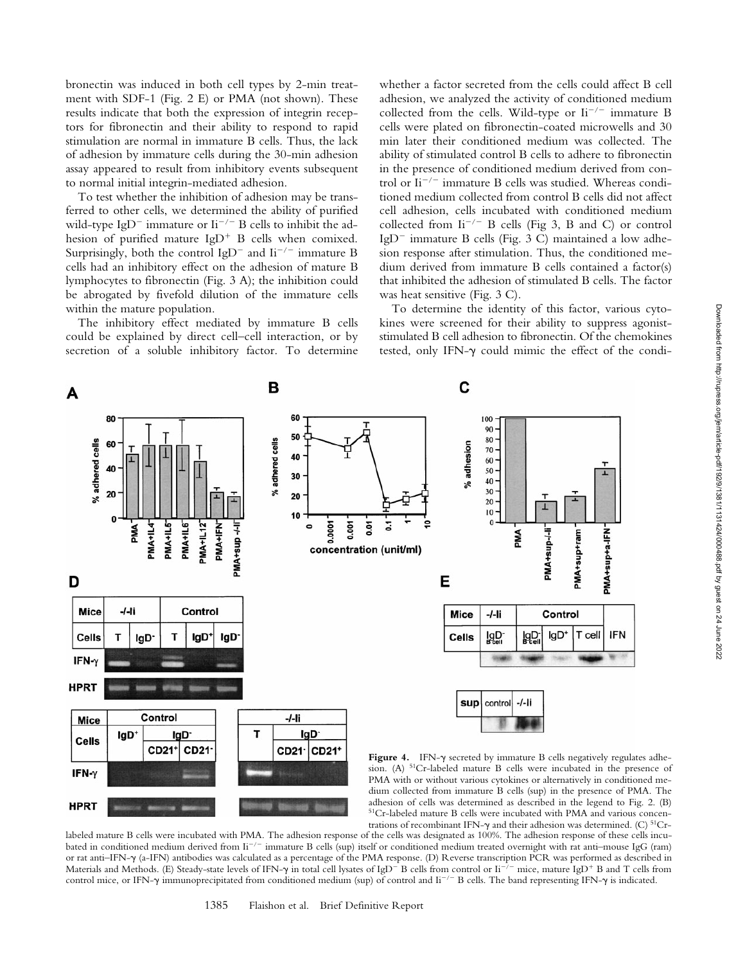bronectin was induced in both cell types by 2-min treatment with SDF-1 (Fig. 2 E) or PMA (not shown). These results indicate that both the expression of integrin receptors for fibronectin and their ability to respond to rapid stimulation are normal in immature B cells. Thus, the lack of adhesion by immature cells during the 30-min adhesion assay appeared to result from inhibitory events subsequent to normal initial integrin-mediated adhesion.

To test whether the inhibition of adhesion may be transferred to other cells, we determined the ability of purified wild-type IgD<sup>-</sup> immature or Ii<sup>-/-</sup> B cells to inhibit the adhesion of purified mature  $IgD^+$  B cells when comixed. Surprisingly, both the control IgD<sup>-</sup> and Ii<sup>-/-</sup> immature B cells had an inhibitory effect on the adhesion of mature B lymphocytes to fibronectin (Fig. 3 A); the inhibition could be abrogated by fivefold dilution of the immature cells within the mature population.

The inhibitory effect mediated by immature B cells could be explained by direct cell–cell interaction, or by secretion of a soluble inhibitory factor. To determine

whether a factor secreted from the cells could affect B cell adhesion, we analyzed the activity of conditioned medium collected from the cells. Wild-type or  $\mathrm{I}i^{-/-}$  immature B cells were plated on fibronectin-coated microwells and 30 min later their conditioned medium was collected. The ability of stimulated control B cells to adhere to fibronectin in the presence of conditioned medium derived from control or  $\mathrm{I}i^{-/-}$  immature B cells was studied. Whereas conditioned medium collected from control B cells did not affect cell adhesion, cells incubated with conditioned medium collected from  $\text{Li}^{-/-}$  B cells (Fig 3, B and C) or control IgD<sup>-</sup> immature B cells (Fig. 3 C) maintained a low adhesion response after stimulation. Thus, the conditioned medium derived from immature B cells contained a factor(s) that inhibited the adhesion of stimulated B cells. The factor was heat sensitive (Fig. 3 C).

To determine the identity of this factor, various cytokines were screened for their ability to suppress agoniststimulated B cell adhesion to fibronectin. Of the chemokines tested, only IFN- $\gamma$  could mimic the effect of the condi-



labeled mature B cells were incubated with PMA. The adhesion response of the cells was designated as 100%. The adhesion response of these cells incubated in conditioned medium derived from Ii<sup>-/-</sup> immature B cells (sup) itself or conditioned medium treated overnight with rat anti-mouse IgG (ram) or rat anti–IFN-g (a-IFN) antibodies was calculated as a percentage of the PMA response. (D) Reverse transcription PCR was performed as described in Materials and Methods. (E) Steady-state levels of IFN- $\gamma$  in total cell lysates of IgD<sup>-</sup> B cells from control or Ii<sup>-/-</sup> mice, mature IgD<sup>+</sup> B and T cells from control mice, or IFN- $\gamma$  immunoprecipitated from conditioned medium (sup) of control and Ii<sup>-/-</sup> B cells. The band representing IFN- $\gamma$  is indicated.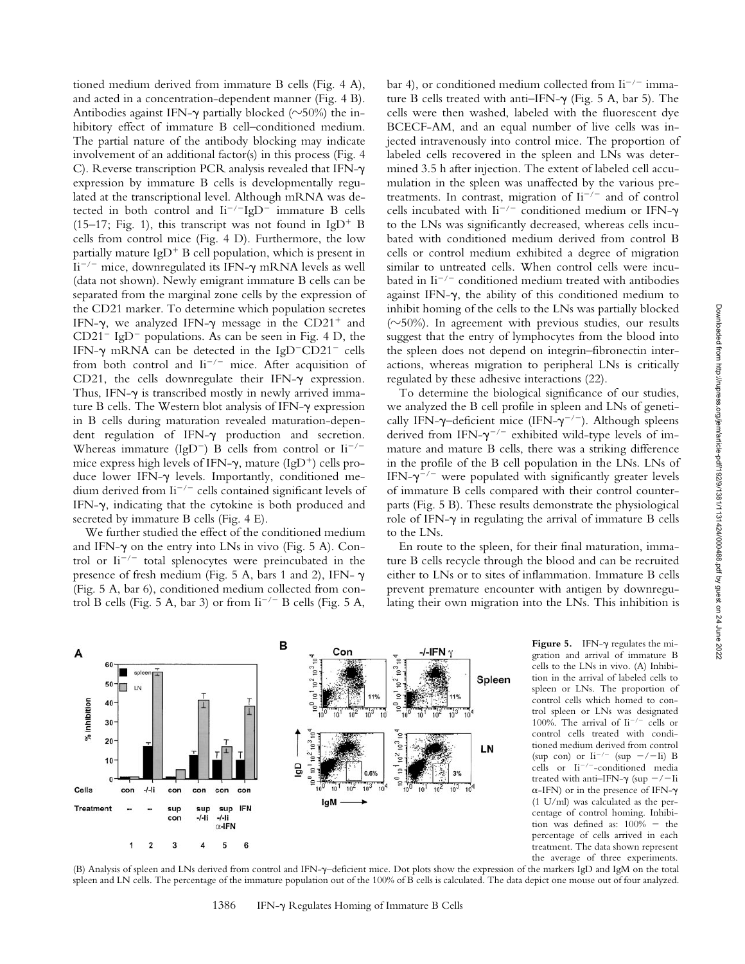tioned medium derived from immature B cells (Fig. 4 A), and acted in a concentration-dependent manner (Fig. 4 B). Antibodies against IFN- $\gamma$  partially blocked ( $\sim$ 50%) the inhibitory effect of immature B cell–conditioned medium. The partial nature of the antibody blocking may indicate involvement of an additional factor(s) in this process (Fig. 4 C). Reverse transcription PCR analysis revealed that IFN-g expression by immature B cells is developmentally regulated at the transcriptional level. Although mRNA was detected in both control and  $\text{Li}^{-/-}\text{IgD}^{-}$  immature B cells (15–17; Fig. 1), this transcript was not found in IgD<sup>+</sup> B cells from control mice (Fig. 4 D). Furthermore, the low partially mature  $IgD^+B$  cell population, which is present in  $\rm{Ii}^{-/-}$  mice, downregulated its IFN- $\gamma$  mRNA levels as well (data not shown). Newly emigrant immature B cells can be separated from the marginal zone cells by the expression of the CD21 marker. To determine which population secretes IFN- $\gamma$ , we analyzed IFN- $\gamma$  message in the CD21<sup>+</sup> and  $CD21^-$  IgD<sup>-</sup> populations. As can be seen in Fig. 4 D, the IFN- $\gamma$  mRNA can be detected in the IgD<sup>-</sup>CD21<sup>-</sup> cells from both control and  $\text{Li}^{-/-}$  mice. After acquisition of CD21, the cells downregulate their IFN- $\gamma$  expression. Thus, IFN- $\gamma$  is transcribed mostly in newly arrived immature B cells. The Western blot analysis of IFN-g expression in B cells during maturation revealed maturation-dependent regulation of IFN- $\gamma$  production and secretion. Whereas immature (IgD<sup>-</sup>) B cells from control or  $\text{Li}^{-/-}$ mice express high levels of IFN- $\gamma$ , mature (IgD<sup>+</sup>) cells produce lower IFN- $\gamma$  levels. Importantly, conditioned medium derived from  $\mathrm{Li}^{-/-}$  cells contained significant levels of IFN- $\gamma$ , indicating that the cytokine is both produced and secreted by immature B cells (Fig. 4 E).

We further studied the effect of the conditioned medium and IFN- $\gamma$  on the entry into LNs in vivo (Fig. 5 A). Control or  $I_i^{-/-}$  total splenocytes were preincubated in the presence of fresh medium (Fig. 5 A, bars 1 and 2), IFN- $\gamma$ (Fig. 5 A, bar 6), conditioned medium collected from control B cells (Fig. 5 A, bar 3) or from  $\rm{I}i^{-/-}$  B cells (Fig. 5 A,

bar 4), or conditioned medium collected from  $\mathrm{Li}^{-/-}$  immature B cells treated with anti-IFN- $\gamma$  (Fig. 5 A, bar 5). The cells were then washed, labeled with the fluorescent dye BCECF-AM, and an equal number of live cells was injected intravenously into control mice. The proportion of labeled cells recovered in the spleen and LNs was determined 3.5 h after injection. The extent of labeled cell accumulation in the spleen was unaffected by the various pretreatments. In contrast, migration of  $\mathrm{I}i^{-/-}$  and of control cells incubated with  $\text{Li}^{-/-}$  conditioned medium or IFN- $\gamma$ to the LNs was significantly decreased, whereas cells incubated with conditioned medium derived from control B cells or control medium exhibited a degree of migration similar to untreated cells. When control cells were incubated in  $\mathrm{li}^{-/-}$  conditioned medium treated with antibodies against IFN- $\gamma$ , the ability of this conditioned medium to inhibit homing of the cells to the LNs was partially blocked ( $\sim$ 50%). In agreement with previous studies, our results suggest that the entry of lymphocytes from the blood into the spleen does not depend on integrin–fibronectin interactions, whereas migration to peripheral LNs is critically regulated by these adhesive interactions (22).

To determine the biological significance of our studies, we analyzed the B cell profile in spleen and LNs of genetically IFN- $\gamma$ –deficient mice (IFN- $\gamma$ <sup>-/-</sup>). Although spleens derived from IFN- $\gamma$ <sup>-/-</sup> exhibited wild-type levels of immature and mature B cells, there was a striking difference in the profile of the B cell population in the LNs. LNs of IFN- $\gamma$ <sup>-/-</sup> were populated with significantly greater levels of immature B cells compared with their control counterparts (Fig. 5 B). These results demonstrate the physiological role of IFN- $\gamma$  in regulating the arrival of immature B cells to the LNs.

En route to the spleen, for their final maturation, immature B cells recycle through the blood and can be recruited either to LNs or to sites of inflammation. Immature B cells prevent premature encounter with antigen by downregulating their own migration into the LNs. This inhibition is



**Figure 5.** IFN- $\gamma$  regulates the migration and arrival of immature B cells to the LNs in vivo. (A) Inhibition in the arrival of labeled cells to spleen or LNs. The proportion of control cells which homed to control spleen or LNs was designated 100%. The arrival of  $\mathrm{I}i^{-/-}$  cells or control cells treated with conditioned medium derived from control (sup con) or  $\text{Ii}^{-/-}$  (sup  $-/-$ Ii) B cells or  $\mathrm{Ii}^{-/-}$ -conditioned media treated with anti-IFN- $\gamma$  (sup  $-/-$ Ii  $\alpha$ -IFN) or in the presence of IFN- $\gamma$ (1 U/ml) was calculated as the percentage of control homing. Inhibition was defined as:  $100\%$  - the percentage of cells arrived in each treatment. The data shown represent the average of three experiments.

(B) Analysis of spleen and LNs derived from control and IFN-y-deficient mice. Dot plots show the expression of the markers IgD and IgM on the total spleen and LN cells. The percentage of the immature population out of the 100% of B cells is calculated. The data depict one mouse out of four analyzed.